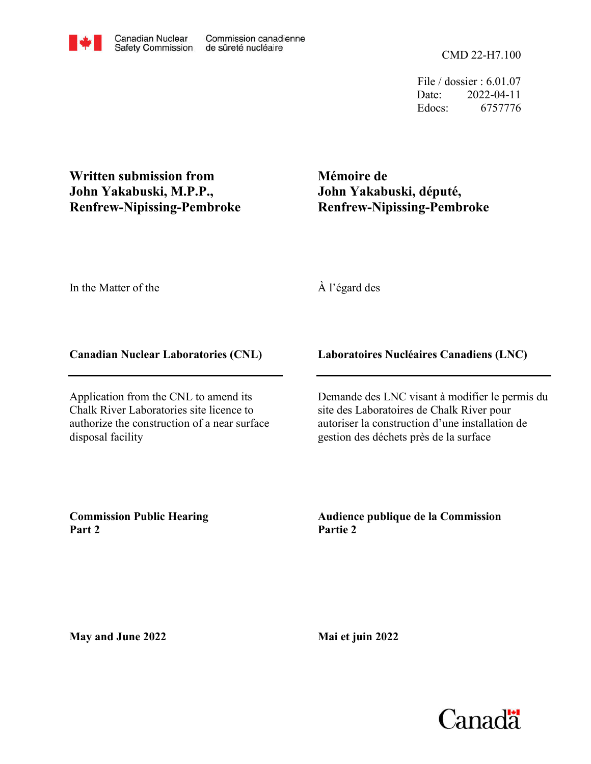CMD 22-H7.100

File / dossier : 6.01.07 Date: 2022-04-11 Edocs: 6757776

**Written submission from John Yakabuski, M.P.P., Renfrew-Nipissing-Pembroke**

**Mémoire de John Yakabuski, député, Renfrew-Nipissing-Pembroke**

In the Matter of the

À l'égard des

## **Canadian Nuclear Laboratories (CNL)**

Application from the CNL to amend its Chalk River Laboratories site licence to authorize the construction of a near surface disposal facility

## **Laboratoires Nucléaires Canadiens (LNC)**

Demande des LNC visant à modifier le permis du site des Laboratoires de Chalk River pour autoriser la construction d'une installation de gestion des déchets près de la surface

**Commission Public Hearing Part 2**

**Audience publique de la Commission Partie 2**

**May and June 2022**

**Mai et juin 2022**

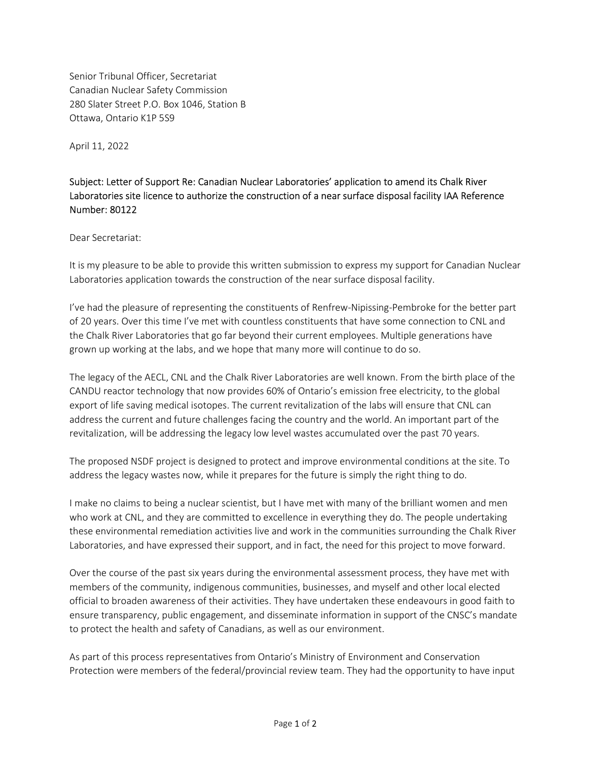Senior Tribunal Officer, Secretariat Canadian Nuclear Safety Commission 280 Slater Street P.O. Box 1046, Station B Ottawa, Ontario K1P 5S9

April 11, 2022

## Subject: Letter of Support Re: Canadian Nuclear Laboratories' application to amend its Chalk River Laboratories site licence to authorize the construction of a near surface disposal facility IAA Reference Number: 80122

Dear Secretariat:

It is my pleasure to be able to provide this written submission to express my support for Canadian Nuclear Laboratories application towards the construction of the near surface disposal facility.

I've had the pleasure of representing the constituents of Renfrew-Nipissing-Pembroke for the better part of 20 years. Over this time I've met with countless constituents that have some connection to CNL and the Chalk River Laboratories that go far beyond their current employees. Multiple generations have grown up working at the labs, and we hope that many more will continue to do so.

The legacy of the AECL, CNL and the Chalk River Laboratories are well known. From the birth place of the CANDU reactor technology that now provides 60% of Ontario's emission free electricity, to the global export of life saving medical isotopes. The current revitalization of the labs will ensure that CNL can address the current and future challenges facing the country and the world. An important part of the revitalization, will be addressing the legacy low level wastes accumulated over the past 70 years.

The proposed NSDF project is designed to protect and improve environmental conditions at the site. To address the legacy wastes now, while it prepares for the future is simply the right thing to do.

I make no claims to being a nuclear scientist, but I have met with many of the brilliant women and men who work at CNL, and they are committed to excellence in everything they do. The people undertaking these environmental remediation activities live and work in the communities surrounding the Chalk River Laboratories, and have expressed their support, and in fact, the need for this project to move forward.

Over the course of the past six years during the environmental assessment process, they have met with members of the community, indigenous communities, businesses, and myself and other local elected official to broaden awareness of their activities. They have undertaken these endeavours in good faith to ensure transparency, public engagement, and disseminate information in support of the CNSC's mandate to protect the health and safety of Canadians, as well as our environment.

As part of this process representatives from Ontario's Ministry of Environment and Conservation Protection were members of the federal/provincial review team. They had the opportunity to have input